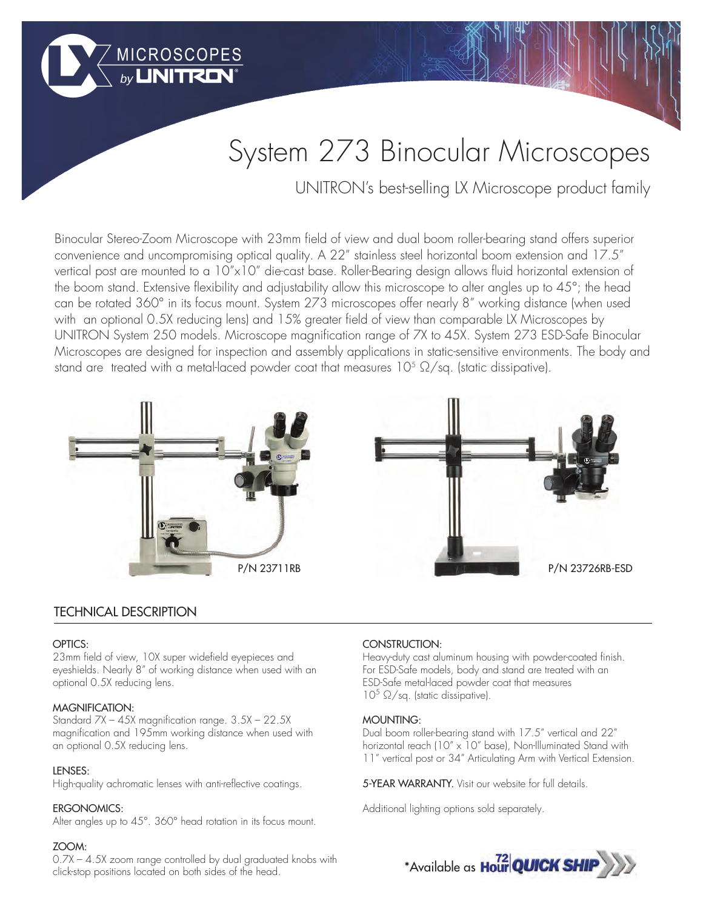# System 273 Binocular Microscopes

UNITRON's best-selling LX Microscope product family

Binocular Stereo-Zoom Microscope with 23mm field of view and dual boom roller-bearing stand offers superior convenience and uncompromising optical quality. A 22" stainless steel horizontal boom extension and 17.5" vertical post are mounted to a 10"x10" die-cast base. Roller-Bearing design allows fluid horizontal extension of the boom stand. Extensive flexibility and adjustability allow this microscope to alter angles up to 45°; the head can be rotated 360° in its focus mount. System 273 microscopes offer nearly 8" working distance (when used with an optional 0.5X reducing lens) and 15% greater field of view than comparable LX Microscopes by UNITRON System 250 models. Microscope magnification range of 7X to 45X. System 273 ESD-Safe Binocular Microscopes are designed for inspection and assembly applications in static-sensitive environments. The body and stand are treated with a metal-laced powder coat that measures 105  $\Omega/\text{sq}$ . (static dissipative).



MICROSCOPES



# TECHNICAL DESCRIPTION

#### OPTICS:

23mm field of view, 10X super widefield eyepieces and eyeshields. Nearly 8" of working distance when used with an optional 0.5X reducing lens.

#### MAGNIFICATION:

Standard 7X – 45X magnification range. 3.5X – 22.5X magnification and 195mm working distance when used with an optional 0.5X reducing lens.

#### LENSES:

High-quality achromatic lenses with anti-reflective coatings.

### ERGONOMICS:

Alter angles up to 45°. 360° head rotation in its focus mount.

#### ZOOM:

0.7X – 4.5X zoom range controlled by dual graduated knobs with click-stop positions located on both sides of the head.

## CONSTRUCTION:

Heavy-duty cast aluminum housing with powder-coated finish. For ESD-Safe models, body and stand are treated with an ESD-Safe metal-laced powder coat that measures  $10^5 \Omega/sq$ . (static dissipative).

#### MOUNTING:

Dual boom roller-bearing stand with 17.5" vertical and 22" horizontal reach (10" x 10" base), Non-Illuminated Stand with 11" vertical post or 34" Articulating Arm with Vertical Extension.

5-YEAR WARRANTY. Visit our website for full details.

Additional lighting options sold separately.